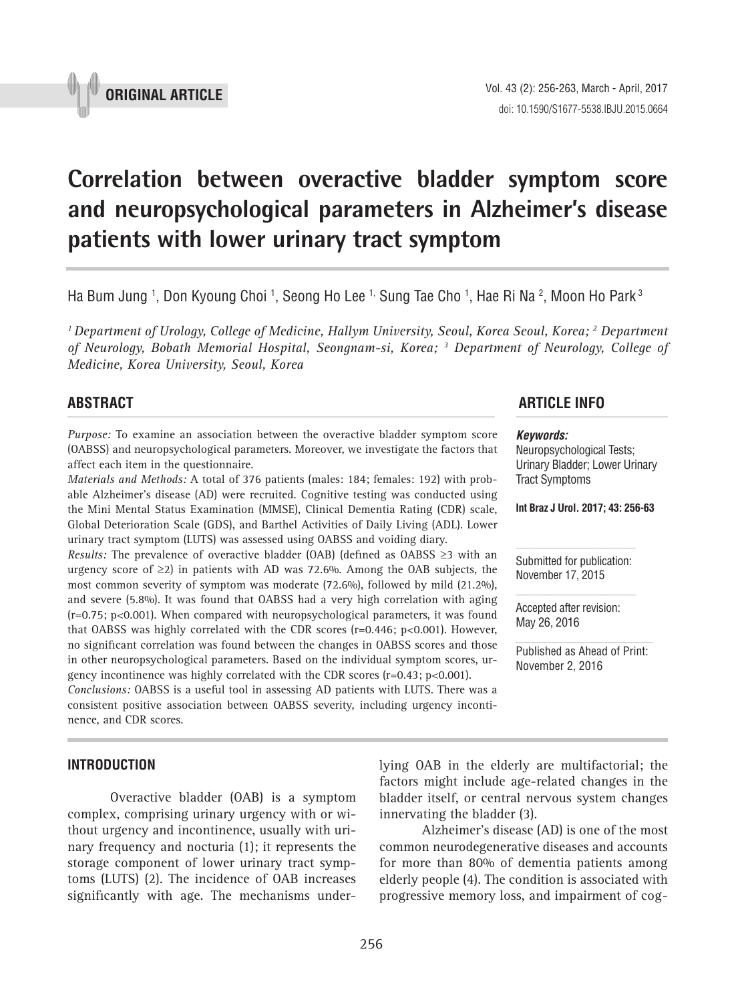

# **Correlation between overactive bladder symptom score and neuropsychological parameters in Alzheimer's disease patients with lower urinary tract symptom p** and the matrice of the contract  $\mu$  and  $\sigma$   $\mu$  and  $\sigma$   $\mu$  and  $\sigma$   $\sigma$

Ha Bum Jung <sup>1</sup>, Don Kyoung Choi <sup>1</sup>, Seong Ho Lee <sup>1,</sup> Sung Tae Cho <sup>1</sup>, Hae Ri Na <sup>2</sup>, Moon Ho Park <sup>3</sup>

*1 Department of Urology, College of Medicine, Hallym University, Seoul, Korea Seoul, Korea; 2 Department of Neurology, Bobath Memorial Hospital, Seongnam-si, Korea; 3 Department of Neurology, College of Medicine, Korea University, Seoul, Korea*

*Purpose:* To examine an association between the overactive bladder symptom score (OABSS) and neuropsychological parameters. Moreover, we investigate the factors that affect each item in the questionnaire.

*Materials and Methods:* A total of 376 patients (males: 184; females: 192) with probable Alzheimer's disease (AD) were recruited. Cognitive testing was conducted using the Mini Mental Status Examination (MMSE), Clinical Dementia Rating (CDR) scale, Global Deterioration Scale (GDS), and Barthel Activities of Daily Living (ADL). Lower urinary tract symptom (LUTS) was assessed using OABSS and voiding diary.

*Results:* The prevalence of overactive bladder (OAB) (defined as OABSS ≥3 with an urgency score of ≥2) in patients with AD was 72.6%. Among the OAB subjects, the most common severity of symptom was moderate (72.6%), followed by mild (21.2%), and severe (5.8%). It was found that OABSS had a very high correlation with aging (r=0.75; p<0.001). When compared with neuropsychological parameters, it was found that OABSS was highly correlated with the CDR scores (r=0.446; p<0.001). However, no significant correlation was found between the changes in OABSS scores and those in other neuropsychological parameters. Based on the individual symptom scores, urgency incontinence was highly correlated with the CDR scores (r=0.43; p<0.001).

*Conclusions:* OABSS is a useful tool in assessing AD patients with LUTS. There was a consistent positive association between OABSS severity, including urgency incontinence, and CDR scores.

#### **INTRODUCTION**

Overactive bladder (OAB) is a symptom complex, comprising urinary urgency with or without urgency and incontinence, usually with urinary frequency and nocturia (1); it represents the storage component of lower urinary tract symptoms (LUTS) (2). The incidence of OAB increases significantly with age. The mechanisms under-

# **ABSTRACT ARTICLE INFO** *\_\_\_\_\_\_\_\_\_\_\_\_\_\_\_\_\_\_\_\_\_\_\_\_\_\_\_\_\_\_\_\_\_\_\_\_\_\_\_\_\_\_\_\_\_\_\_\_\_\_\_\_\_\_\_\_\_\_\_\_\_\_ \_\_\_\_\_\_\_\_\_\_\_\_\_\_\_\_\_\_\_\_\_\_*

#### *Keywords:*

Neuropsychological Tests; Urinary Bladder; Lower Urinary Tract Symptoms

**Int Braz J Urol. 2017; 43: 256-63**

Submitted for publication: November 17, 2015

Accepted after revision: May 26, 2016

Published as Ahead of Print: November 2, 2016

lying OAB in the elderly are multifactorial; the factors might include age-related changes in the bladder itself, or central nervous system changes innervating the bladder (3).

Alzheimer's disease (AD) is one of the most common neurodegenerative diseases and accounts for more than 80% of dementia patients among elderly people (4). The condition is associated with progressive memory loss, and impairment of cog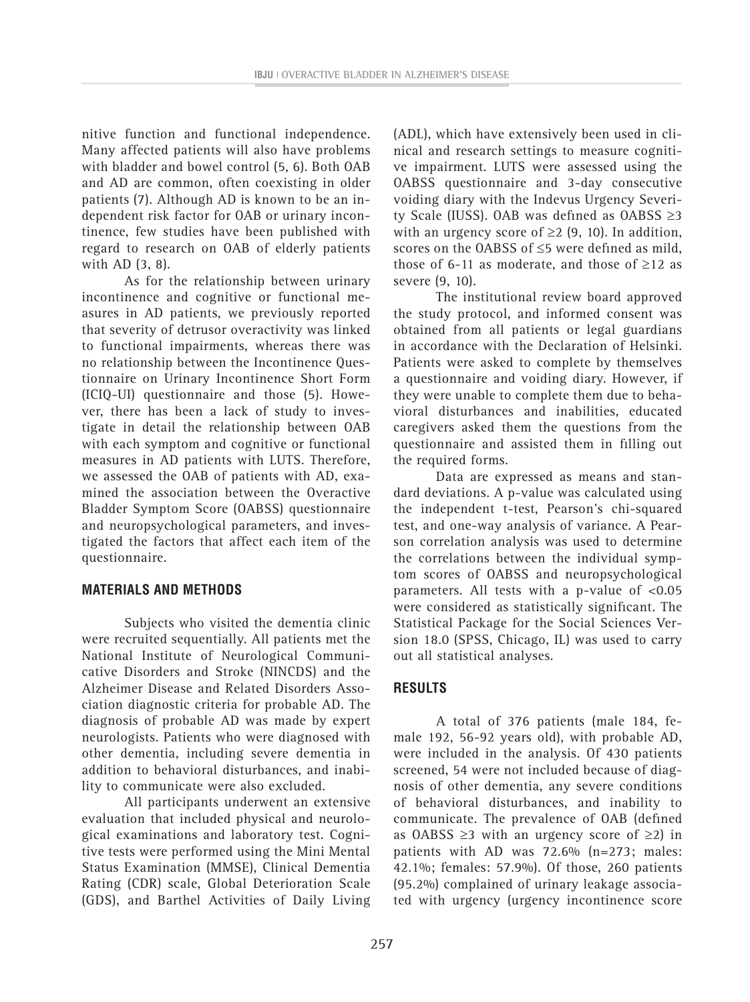nitive function and functional independence. Many affected patients will also have problems with bladder and bowel control (5, 6). Both OAB and AD are common, often coexisting in older patients (7). Although AD is known to be an independent risk factor for OAB or urinary incontinence, few studies have been published with regard to research on OAB of elderly patients with AD (3, 8).

As for the relationship between urinary incontinence and cognitive or functional measures in AD patients, we previously reported that severity of detrusor overactivity was linked to functional impairments, whereas there was no relationship between the Incontinence Questionnaire on Urinary Incontinence Short Form (ICIQ-UI) questionnaire and those (5). However, there has been a lack of study to investigate in detail the relationship between OAB with each symptom and cognitive or functional measures in AD patients with LUTS. Therefore, we assessed the OAB of patients with AD, examined the association between the Overactive Bladder Symptom Score (OABSS) questionnaire and neuropsychological parameters, and investigated the factors that affect each item of the questionnaire.

## **MATERIALS AND METHODS**

Subjects who visited the dementia clinic were recruited sequentially. All patients met the National Institute of Neurological Communicative Disorders and Stroke (NINCDS) and the Alzheimer Disease and Related Disorders Association diagnostic criteria for probable AD. The diagnosis of probable AD was made by expert neurologists. Patients who were diagnosed with other dementia, including severe dementia in addition to behavioral disturbances, and inability to communicate were also excluded.

All participants underwent an extensive evaluation that included physical and neurological examinations and laboratory test. Cognitive tests were performed using the Mini Mental Status Examination (MMSE), Clinical Dementia Rating (CDR) scale, Global Deterioration Scale (GDS), and Barthel Activities of Daily Living (ADL), which have extensively been used in clinical and research settings to measure cognitive impairment. LUTS were assessed using the OABSS questionnaire and 3-day consecutive voiding diary with the Indevus Urgency Severity Scale (IUSS). OAB was defined as OABSS ≥3 with an urgency score of  $\geq$  2 (9, 10). In addition, scores on the OABSS of ≤5 were defined as mild, those of 6-11 as moderate, and those of  $\geq$ 12 as severe (9, 10).

The institutional review board approved the study protocol, and informed consent was obtained from all patients or legal guardians in accordance with the Declaration of Helsinki. Patients were asked to complete by themselves a questionnaire and voiding diary. However, if they were unable to complete them due to behavioral disturbances and inabilities, educated caregivers asked them the questions from the questionnaire and assisted them in filling out the required forms.

Data are expressed as means and standard deviations. A p-value was calculated using the independent t-test, Pearson's chi-squared test, and one-way analysis of variance. A Pearson correlation analysis was used to determine the correlations between the individual symptom scores of OABSS and neuropsychological parameters. All tests with a p-value of <0.05 were considered as statistically significant. The Statistical Package for the Social Sciences Version 18.0 (SPSS, Chicago, IL) was used to carry out all statistical analyses.

# **RESULTS**

A total of 376 patients (male 184, female 192, 56-92 years old), with probable AD, were included in the analysis. Of 430 patients screened, 54 were not included because of diagnosis of other dementia, any severe conditions of behavioral disturbances, and inability to communicate. The prevalence of OAB (defined as OABSS ≥3 with an urgency score of ≥2) in patients with AD was 72.6% (n=273; males: 42.1%; females: 57.9%). Of those, 260 patients (95.2%) complained of urinary leakage associated with urgency (urgency incontinence score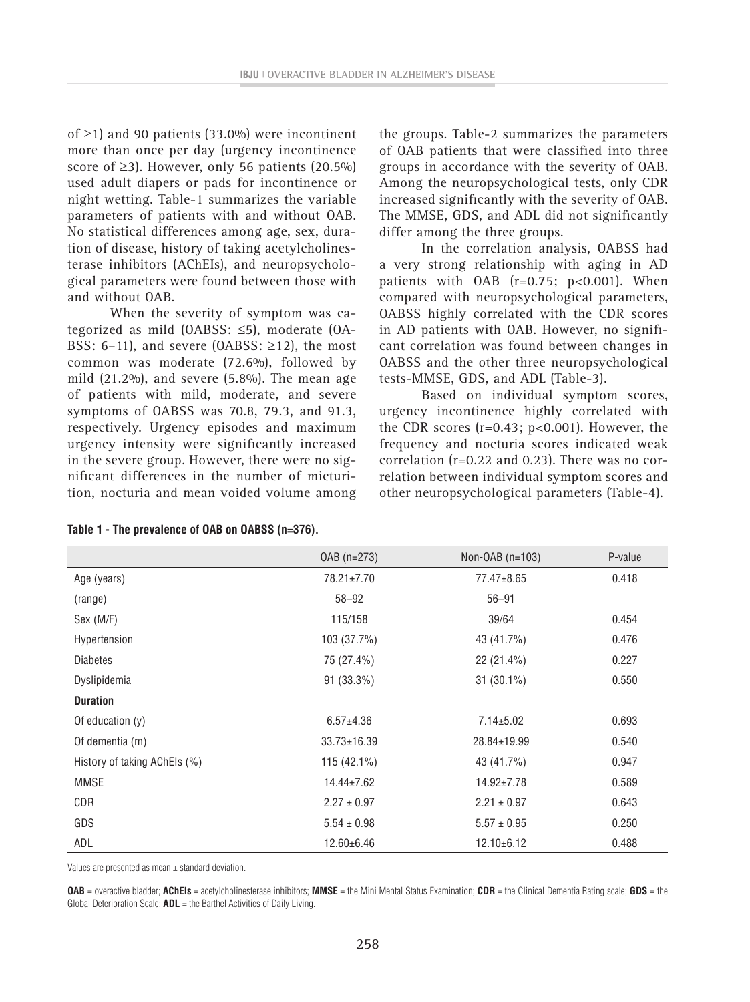of ≥1) and 90 patients (33.0%) were incontinent more than once per day (urgency incontinence score of  $\geq$ 3). However, only 56 patients (20.5%) used adult diapers or pads for incontinence or night wetting. Table-1 summarizes the variable parameters of patients with and without OAB. No statistical differences among age, sex, duration of disease, history of taking acetylcholinesterase inhibitors (AChEIs), and neuropsychological parameters were found between those with and without OAB.

When the severity of symptom was categorized as mild (OABSS: ≤5), moderate (OA-BSS: 6–11), and severe (OABSS:  $\geq$ 12), the most common was moderate (72.6%), followed by mild (21.2%), and severe (5.8%). The mean age of patients with mild, moderate, and severe symptoms of OABSS was 70.8, 79.3, and 91.3, respectively. Urgency episodes and maximum urgency intensity were significantly increased in the severe group. However, there were no significant differences in the number of micturition, nocturia and mean voided volume among the groups. Table-2 summarizes the parameters of OAB patients that were classified into three groups in accordance with the severity of OAB. Among the neuropsychological tests, only CDR increased significantly with the severity of OAB. The MMSE, GDS, and ADL did not significantly differ among the three groups.

In the correlation analysis, OABSS had a very strong relationship with aging in AD patients with  $OAB$  ( $r=0.75$ ;  $p<0.001$ ). When compared with neuropsychological parameters, OABSS highly correlated with the CDR scores in AD patients with OAB. However, no significant correlation was found between changes in OABSS and the other three neuropsychological tests-MMSE, GDS, and ADL (Table-3).

Based on individual symptom scores, urgency incontinence highly correlated with the CDR scores  $(r=0.43; p<0.001)$ . However, the frequency and nocturia scores indicated weak correlation (r=0.22 and 0.23). There was no correlation between individual symptom scores and other neuropsychological parameters (Table-4).

|                              | OAB (n=273)       | Non-OAB (n=103)  | P-value |
|------------------------------|-------------------|------------------|---------|
| Age (years)                  | 78.21±7.70        | 77.47±8.65       | 0.418   |
| (range)                      | $58 - 92$         | $56 - 91$        |         |
| Sex (M/F)                    | 115/158           | 39/64            | 0.454   |
| Hypertension                 | 103 (37.7%)       | 43 (41.7%)       | 0.476   |
| <b>Diabetes</b>              | 75 (27.4%)        | 22 (21.4%)       | 0.227   |
| Dyslipidemia                 | 91 (33.3%)        | $31(30.1\%)$     | 0.550   |
| <b>Duration</b>              |                   |                  |         |
| Of education $(y)$           | $6.57 \pm 4.36$   | $7.14 \pm 5.02$  | 0.693   |
| Of dementia (m)              | $33.73 \pm 16.39$ | 28.84±19.99      | 0.540   |
| History of taking AChEls (%) | $115(42.1\%)$     | 43 (41.7%)       | 0.947   |
| <b>MMSE</b>                  | $14.44 \pm 7.62$  | $14.92 \pm 7.78$ | 0.589   |
| CDR                          | $2.27 \pm 0.97$   | $2.21 \pm 0.97$  | 0.643   |
| GDS                          | $5.54 \pm 0.98$   | $5.57 \pm 0.95$  | 0.250   |
| ADL                          | $12.60 + 6.46$    | $12.10+6.12$     | 0.488   |

| Table 1 - The prevalence of OAB on OABSS (n=376). |  |  |  |
|---------------------------------------------------|--|--|--|
|---------------------------------------------------|--|--|--|

Values are presented as mean  $\pm$  standard deviation.

**OAB** = overactive bladder; **AChEIs** = acetylcholinesterase inhibitors; **MMSE** = the Mini Mental Status Examination; **CDR** = the Clinical Dementia Rating scale; **GDS** = the Global Deterioration Scale; **ADL** = the Barthel Activities of Daily Living.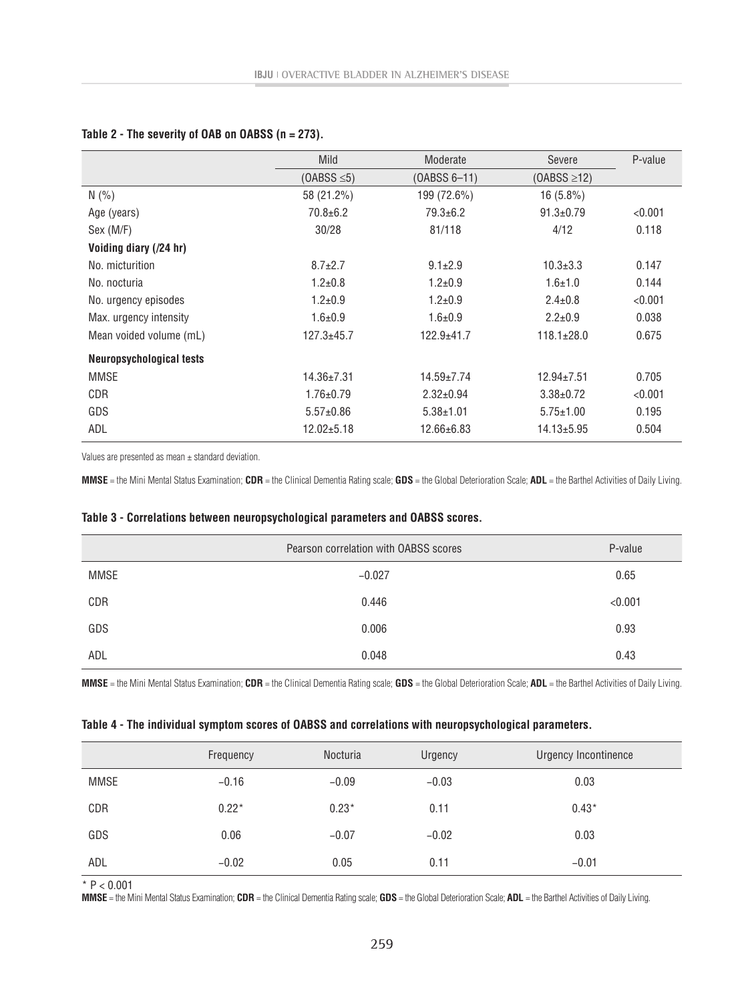|                                 | <b>Mild</b>      | Moderate         | Severe           | P-value |
|---------------------------------|------------------|------------------|------------------|---------|
|                                 | $(OABS \leq 5)$  | (OABSS 6-11)     | $(OABS \geq 12)$ |         |
| N(% )                           | 58 (21.2%)       | 199 (72.6%)      | $16(5.8\%)$      |         |
| Age (years)                     | $70.8 + 6.2$     | $79.3 + 6.2$     | $91.3 \pm 0.79$  | < 0.001 |
| Sex (M/F)                       | 30/28            | 81/118           | 4/12             | 0.118   |
| Voiding diary (/24 hr)          |                  |                  |                  |         |
| No. micturition                 | $8.7 \pm 2.7$    | $9.1 \pm 2.9$    | $10.3 \pm 3.3$   | 0.147   |
| No. nocturia                    | $1.2 \pm 0.8$    | $1.2 \pm 0.9$    | $1.6 + 1.0$      | 0.144   |
| No. urgency episodes            | $1.2 + 0.9$      | $1.2 \pm 0.9$    | $2.4 \pm 0.8$    | < 0.001 |
| Max. urgency intensity          | $1.6 + 0.9$      | $1.6 + 0.9$      | $2.2 \pm 0.9$    | 0.038   |
| Mean voided volume (mL)         | $127.3 + 45.7$   | 122.9±41.7       | $118.1 \pm 28.0$ | 0.675   |
| <b>Neuropsychological tests</b> |                  |                  |                  |         |
| <b>MMSE</b>                     | $14.36 \pm 7.31$ | $14.59 \pm 7.74$ | $12.94 \pm 7.51$ | 0.705   |
| <b>CDR</b>                      | $1.76 \pm 0.79$  | $2.32 \pm 0.94$  | $3.38 \pm 0.72$  | < 0.001 |
| GDS                             | $5.57 \pm 0.86$  | $5.38 \pm 1.01$  | $5.75 \pm 1.00$  | 0.195   |
| ADL                             | $12.02 + 5.18$   | 12.66±6.83       | $14.13 + 5.95$   | 0.504   |

### **Table 2 - The severity of OAB on OABSS (n = 273).**

Values are presented as mean  $\pm$  standard deviation.

**MMSE** = the Mini Mental Status Examination; **CDR** = the Clinical Dementia Rating scale; **GDS** = the Global Deterioration Scale; **ADL** = the Barthel Activities of Daily Living.

|             | Pearson correlation with OABSS scores | P-value |
|-------------|---------------------------------------|---------|
| <b>MMSE</b> | $-0.027$                              | 0.65    |
| <b>CDR</b>  | 0.446                                 | < 0.001 |
| GDS         | 0.006                                 | 0.93    |
| ADL         | 0.048                                 | 0.43    |

#### **Table 3 - Correlations between neuropsychological parameters and OABSS scores.**

**MMSE** = the Mini Mental Status Examination; **CDR** = the Clinical Dementia Rating scale; **GDS** = the Global Deterioration Scale; **ADL** = the Barthel Activities of Daily Living.

#### **Table 4 - The individual symptom scores of OABSS and correlations with neuropsychological parameters.**

|             | Frequency | Nocturia | Urgency | Urgency Incontinence |
|-------------|-----------|----------|---------|----------------------|
| <b>MMSE</b> | $-0.16$   | $-0.09$  | $-0.03$ | 0.03                 |
| <b>CDR</b>  | $0.22*$   | $0.23*$  | 0.11    | $0.43*$              |
| GDS         | 0.06      | $-0.07$  | $-0.02$ | 0.03                 |
| ADL         | $-0.02$   | 0.05     | 0.11    | $-0.01$              |

 $*$  P < 0.001

**MMSE** = the Mini Mental Status Examination; **CDR** = the Clinical Dementia Rating scale; **GDS** = the Global Deterioration Scale; **ADL** = the Barthel Activities of Daily Living.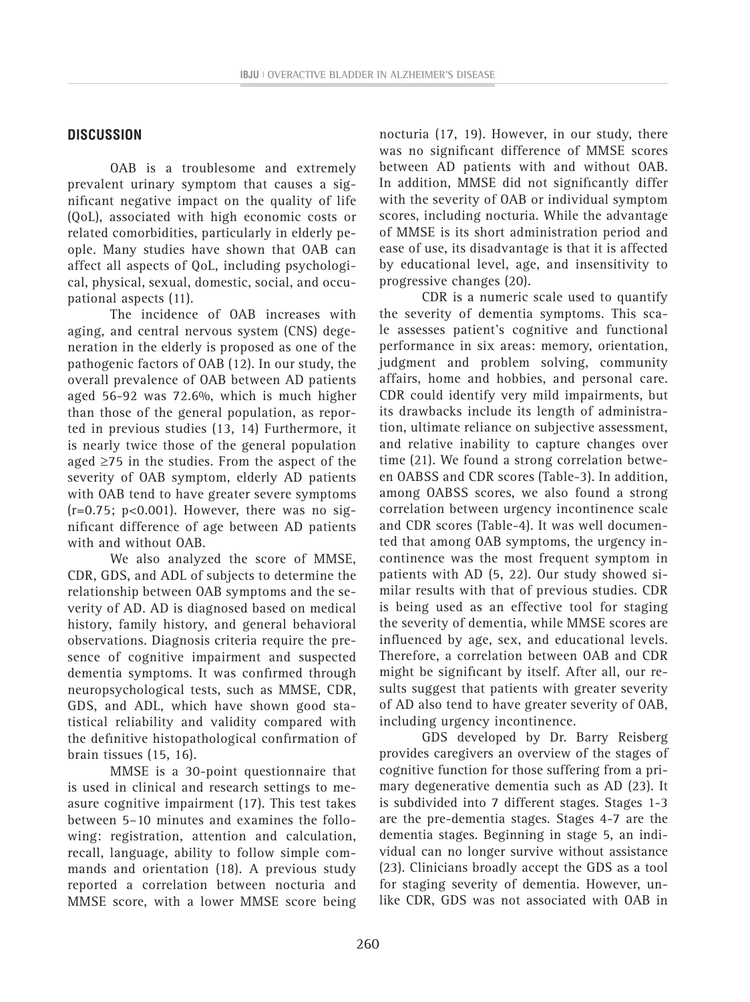### **DISCUSSION**

OAB is a troublesome and extremely prevalent urinary symptom that causes a significant negative impact on the quality of life (QoL), associated with high economic costs or related comorbidities, particularly in elderly people. Many studies have shown that OAB can affect all aspects of QoL, including psychological, physical, sexual, domestic, social, and occupational aspects (11).

The incidence of OAB increases with aging, and central nervous system (CNS) degeneration in the elderly is proposed as one of the pathogenic factors of OAB (12). In our study, the overall prevalence of OAB between AD patients aged 56-92 was 72.6%, which is much higher than those of the general population, as reported in previous studies (13, 14) Furthermore, it is nearly twice those of the general population aged  $\geq$ 75 in the studies. From the aspect of the severity of OAB symptom, elderly AD patients with OAB tend to have greater severe symptoms  $(r=0.75; p<0.001)$ . However, there was no significant difference of age between AD patients with and without OAB.

We also analyzed the score of MMSE, CDR, GDS, and ADL of subjects to determine the relationship between OAB symptoms and the severity of AD. AD is diagnosed based on medical history, family history, and general behavioral observations. Diagnosis criteria require the presence of cognitive impairment and suspected dementia symptoms. It was confirmed through neuropsychological tests, such as MMSE, CDR, GDS, and ADL, which have shown good statistical reliability and validity compared with the definitive histopathological confirmation of brain tissues (15, 16).

MMSE is a 30-point questionnaire that is used in clinical and research settings to measure cognitive impairment (17). This test takes between 5–10 minutes and examines the following: registration, attention and calculation, recall, language, ability to follow simple commands and orientation (18). A previous study reported a correlation between nocturia and MMSE score, with a lower MMSE score being nocturia (17, 19). However, in our study, there was no significant difference of MMSE scores between AD patients with and without OAB. In addition, MMSE did not significantly differ with the severity of OAB or individual symptom scores, including nocturia. While the advantage of MMSE is its short administration period and ease of use, its disadvantage is that it is affected by educational level, age, and insensitivity to progressive changes (20).

CDR is a numeric scale used to quantify the severity of dementia symptoms. This scale assesses patient's cognitive and functional performance in six areas: memory, orientation, judgment and problem solving, community affairs, home and hobbies, and personal care. CDR could identify very mild impairments, but its drawbacks include its length of administration, ultimate reliance on subjective assessment, and relative inability to capture changes over time (21). We found a strong correlation between OABSS and CDR scores (Table-3). In addition, among OABSS scores, we also found a strong correlation between urgency incontinence scale and CDR scores (Table-4). It was well documented that among OAB symptoms, the urgency incontinence was the most frequent symptom in patients with AD (5, 22). Our study showed similar results with that of previous studies. CDR is being used as an effective tool for staging the severity of dementia, while MMSE scores are influenced by age, sex, and educational levels. Therefore, a correlation between OAB and CDR might be significant by itself. After all, our results suggest that patients with greater severity of AD also tend to have greater severity of OAB, including urgency incontinence.

GDS developed by Dr. Barry Reisberg provides caregivers an overview of the stages of cognitive function for those suffering from a primary degenerative dementia such as AD (23). It is subdivided into 7 different stages. Stages 1-3 are the pre-dementia stages. Stages 4-7 are the dementia stages. Beginning in stage 5, an individual can no longer survive without assistance (23). Clinicians broadly accept the GDS as a tool for staging severity of dementia. However, unlike CDR, GDS was not associated with OAB in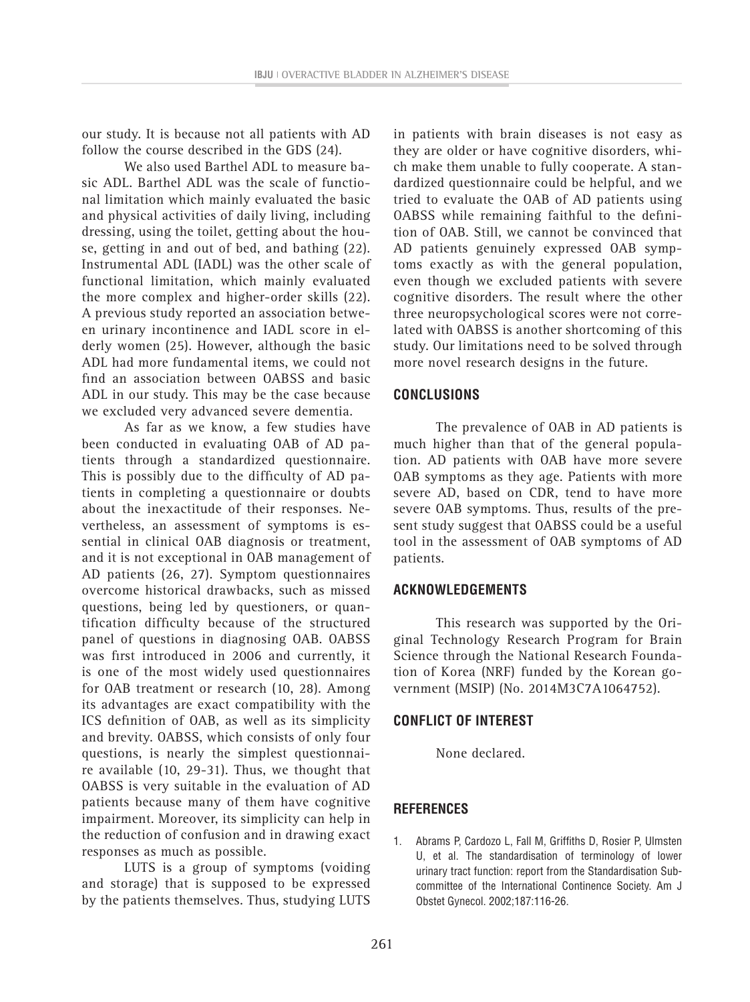our study. It is because not all patients with AD follow the course described in the GDS (24).

We also used Barthel ADL to measure basic ADL. Barthel ADL was the scale of functional limitation which mainly evaluated the basic and physical activities of daily living, including dressing, using the toilet, getting about the house, getting in and out of bed, and bathing (22). Instrumental ADL (IADL) was the other scale of functional limitation, which mainly evaluated the more complex and higher-order skills (22). A previous study reported an association between urinary incontinence and IADL score in elderly women (25). However, although the basic ADL had more fundamental items, we could not find an association between OABSS and basic ADL in our study. This may be the case because we excluded very advanced severe dementia.

As far as we know, a few studies have been conducted in evaluating OAB of AD patients through a standardized questionnaire. This is possibly due to the difficulty of AD patients in completing a questionnaire or doubts about the inexactitude of their responses. Nevertheless, an assessment of symptoms is essential in clinical OAB diagnosis or treatment, and it is not exceptional in OAB management of AD patients (26, 27). Symptom questionnaires overcome historical drawbacks, such as missed questions, being led by questioners, or quantification difficulty because of the structured panel of questions in diagnosing OAB. OABSS was first introduced in 2006 and currently, it is one of the most widely used questionnaires for OAB treatment or research (10, 28). Among its advantages are exact compatibility with the ICS definition of OAB, as well as its simplicity and brevity. OABSS, which consists of only four questions, is nearly the simplest questionnaire available (10, 29-31). Thus, we thought that OABSS is very suitable in the evaluation of AD patients because many of them have cognitive impairment. Moreover, its simplicity can help in the reduction of confusion and in drawing exact responses as much as possible.

LUTS is a group of symptoms (voiding and storage) that is supposed to be expressed by the patients themselves. Thus, studying LUTS in patients with brain diseases is not easy as they are older or have cognitive disorders, which make them unable to fully cooperate. A standardized questionnaire could be helpful, and we tried to evaluate the OAB of AD patients using OABSS while remaining faithful to the definition of OAB. Still, we cannot be convinced that AD patients genuinely expressed OAB symptoms exactly as with the general population, even though we excluded patients with severe cognitive disorders. The result where the other three neuropsychological scores were not correlated with OABSS is another shortcoming of this study. Our limitations need to be solved through more novel research designs in the future.

# **CONCLUSIONS**

The prevalence of OAB in AD patients is much higher than that of the general population. AD patients with OAB have more severe OAB symptoms as they age. Patients with more severe AD, based on CDR, tend to have more severe OAB symptoms. Thus, results of the present study suggest that OABSS could be a useful tool in the assessment of OAB symptoms of AD patients.

# **ACKNOWLEDGEMENTS**

This research was supported by the Original Technology Research Program for Brain Science through the National Research Foundation of Korea (NRF) funded by the Korean government (MSIP) (No. 2014M3C7A1064752).

# **CONFLICT OF INTEREST**

None declared.

# **REFERENCES**

1. Abrams P, Cardozo L, Fall M, Griffiths D, Rosier P, Ulmsten U, et al. The standardisation of terminology of lower urinary tract function: report from the Standardisation Subcommittee of the International Continence Society. Am J Obstet Gynecol. 2002;187:116-26.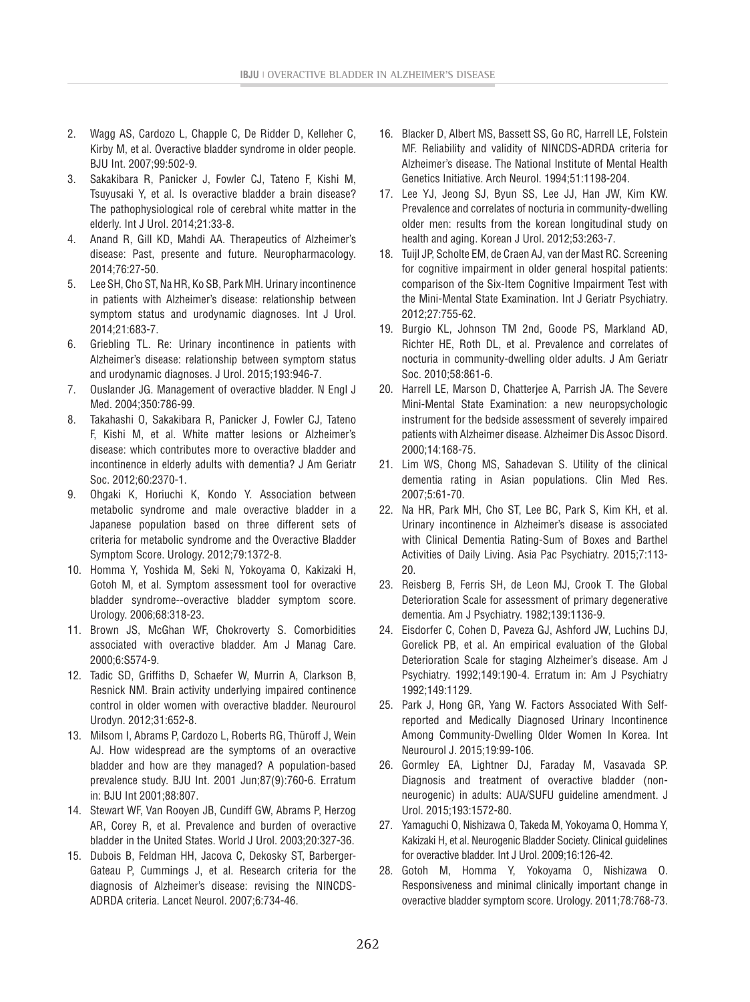- 2. Wagg AS, Cardozo L, Chapple C, De Ridder D, Kelleher C, Kirby M, et al. Overactive bladder syndrome in older people. BJU Int. 2007;99:502-9.
- 3. Sakakibara R, Panicker J, Fowler CJ, Tateno F, Kishi M, Tsuyusaki Y, et al. Is overactive bladder a brain disease? The pathophysiological role of cerebral white matter in the elderly. Int J Urol. 2014;21:33-8.
- 4. Anand R, Gill KD, Mahdi AA. Therapeutics of Alzheimer's disease: Past, presente and future. Neuropharmacology. 2014;76:27-50.
- 5. Lee SH, Cho ST, Na HR, Ko SB, Park MH. Urinary incontinence in patients with Alzheimer's disease: relationship between symptom status and urodynamic diagnoses. Int J Urol. 2014;21:683-7.
- 6. Griebling TL. Re: Urinary incontinence in patients with Alzheimer's disease: relationship between symptom status and urodynamic diagnoses. J Urol. 2015;193:946-7.
- 7. Ouslander JG. Management of overactive bladder. N Engl J Med. 2004;350:786-99.
- 8. Takahashi O, Sakakibara R, Panicker J, Fowler CJ, Tateno F, Kishi M, et al. White matter lesions or Alzheimer's disease: which contributes more to overactive bladder and incontinence in elderly adults with dementia? J Am Geriatr Soc. 2012;60:2370-1.
- 9. Ohgaki K, Horiuchi K, Kondo Y. Association between metabolic syndrome and male overactive bladder in a Japanese population based on three different sets of criteria for metabolic syndrome and the Overactive Bladder Symptom Score. Urology. 2012;79:1372-8.
- 10. Homma Y, Yoshida M, Seki N, Yokoyama O, Kakizaki H, Gotoh M, et al. Symptom assessment tool for overactive bladder syndrome--overactive bladder symptom score. Urology. 2006;68:318-23.
- 11. Brown JS, McGhan WF, Chokroverty S. Comorbidities associated with overactive bladder. Am J Manag Care. 2000;6:S574-9.
- 12. Tadic SD, Griffiths D, Schaefer W, Murrin A, Clarkson B, Resnick NM. Brain activity underlying impaired continence control in older women with overactive bladder. Neurourol Urodyn. 2012;31:652-8.
- 13. Milsom I, Abrams P, Cardozo L, Roberts RG, Thüroff J, Wein AJ. How widespread are the symptoms of an overactive bladder and how are they managed? A population-based prevalence study. BJU Int. 2001 Jun;87(9):760-6. Erratum in: BJU Int 2001;88:807.
- 14. Stewart WF, Van Rooyen JB, Cundiff GW, Abrams P, Herzog AR, Corey R, et al. Prevalence and burden of overactive bladder in the United States. World J Urol. 2003;20:327-36.
- 15. Dubois B, Feldman HH, Jacova C, Dekosky ST, Barberger-Gateau P, Cummings J, et al. Research criteria for the diagnosis of Alzheimer's disease: revising the NINCDS-ADRDA criteria. Lancet Neurol. 2007;6:734-46.
- 16. Blacker D, Albert MS, Bassett SS, Go RC, Harrell LE, Folstein MF. Reliability and validity of NINCDS-ADRDA criteria for Alzheimer's disease. The National Institute of Mental Health Genetics Initiative. Arch Neurol. 1994;51:1198-204.
- 17. Lee YJ, Jeong SJ, Byun SS, Lee JJ, Han JW, Kim KW. Prevalence and correlates of nocturia in community-dwelling older men: results from the korean longitudinal study on health and aging. Korean J Urol. 2012;53:263-7.
- 18. Tuijl JP, Scholte EM, de Craen AJ, van der Mast RC. Screening for cognitive impairment in older general hospital patients: comparison of the Six-Item Cognitive Impairment Test with the Mini-Mental State Examination. Int J Geriatr Psychiatry. 2012;27:755-62.
- 19. Burgio KL, Johnson TM 2nd, Goode PS, Markland AD, Richter HE, Roth DL, et al. Prevalence and correlates of nocturia in community-dwelling older adults. J Am Geriatr Soc. 2010;58:861-6.
- 20. Harrell LE, Marson D, Chatterjee A, Parrish JA. The Severe Mini-Mental State Examination: a new neuropsychologic instrument for the bedside assessment of severely impaired patients with Alzheimer disease. Alzheimer Dis Assoc Disord. 2000;14:168-75.
- 21. Lim WS, Chong MS, Sahadevan S. Utility of the clinical dementia rating in Asian populations. Clin Med Res. 2007;5:61-70.
- 22. Na HR, Park MH, Cho ST, Lee BC, Park S, Kim KH, et al. Urinary incontinence in Alzheimer's disease is associated with Clinical Dementia Rating-Sum of Boxes and Barthel Activities of Daily Living. Asia Pac Psychiatry. 2015;7:113- 20.
- 23. Reisberg B, Ferris SH, de Leon MJ, Crook T. The Global Deterioration Scale for assessment of primary degenerative dementia. Am J Psychiatry. 1982;139:1136-9.
- 24. Eisdorfer C, Cohen D, Paveza GJ, Ashford JW, Luchins DJ, Gorelick PB, et al. An empirical evaluation of the Global Deterioration Scale for staging Alzheimer's disease. Am J Psychiatry. 1992;149:190-4. Erratum in: Am J Psychiatry 1992;149:1129.
- 25. Park J, Hong GR, Yang W. Factors Associated With Selfreported and Medically Diagnosed Urinary Incontinence Among Community-Dwelling Older Women In Korea. Int Neurourol J. 2015;19:99-106.
- 26. Gormley EA, Lightner DJ, Faraday M, Vasavada SP. Diagnosis and treatment of overactive bladder (nonneurogenic) in adults: AUA/SUFU guideline amendment. J Urol. 2015;193:1572-80.
- 27. Yamaguchi O, Nishizawa O, Takeda M, Yokoyama O, Homma Y, Kakizaki H, et al. Neurogenic Bladder Society. Clinical guidelines for overactive bladder. Int J Urol. 2009;16:126-42.
- 28. Gotoh M, Homma Y, Yokoyama O, Nishizawa O. Responsiveness and minimal clinically important change in overactive bladder symptom score. Urology. 2011;78:768-73.